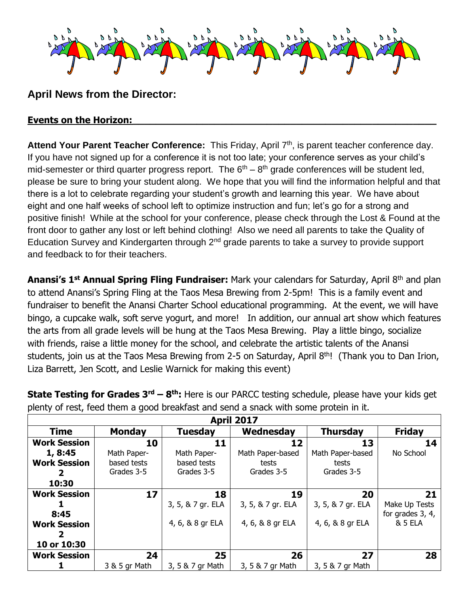

## **April News from the Director:**

## **Events on the Horizon:**

Attend Your Parent Teacher Conference: This Friday, April 7<sup>th</sup>, is parent teacher conference day. If you have not signed up for a conference it is not too late; your conference serves as your child's mid-semester or third quarter progress report. The  $6<sup>th</sup> - 8<sup>th</sup>$  grade conferences will be student led, please be sure to bring your student along. We hope that you will find the information helpful and that there is a lot to celebrate regarding your student's growth and learning this year. We have about eight and one half weeks of school left to optimize instruction and fun; let's go for a strong and positive finish! While at the school for your conference, please check through the Lost & Found at the front door to gather any lost or left behind clothing! Also we need all parents to take the Quality of Education Survey and Kindergarten through 2<sup>nd</sup> grade parents to take a survey to provide support and feedback to for their teachers.

**Anansi's 1st Annual Spring Fling Fundraiser:** Mark your calendars for Saturday, April 8th and plan to attend Anansi's Spring Fling at the Taos Mesa Brewing from 2-5pm! This is a family event and fundraiser to benefit the Anansi Charter School educational programming. At the event, we will have bingo, a cupcake walk, soft serve yogurt, and more! In addition, our annual art show which features the arts from all grade levels will be hung at the Taos Mesa Brewing. Play a little bingo, socialize with friends, raise a little money for the school, and celebrate the artistic talents of the Anansi students, join us at the Taos Mesa Brewing from 2-5 on Saturday, April  $8<sup>th</sup>$ ! (Thank you to Dan Irion, Liza Barrett, Jen Scott, and Leslie Warnick for making this event)

| <b>April 2017</b>   |               |                   |                   |                   |                    |  |  |  |
|---------------------|---------------|-------------------|-------------------|-------------------|--------------------|--|--|--|
| <b>Time</b>         | <b>Monday</b> | <b>Tuesday</b>    | Wednesday         | <b>Thursday</b>   | <b>Friday</b>      |  |  |  |
| <b>Work Session</b> | 10            | 11                | 12                | 13                | 14                 |  |  |  |
| 1, 8:45             | Math Paper-   | Math Paper-       | Math Paper-based  | Math Paper-based  | No School          |  |  |  |
| <b>Work Session</b> | based tests   | based tests       | tests             | tests             |                    |  |  |  |
| 2                   | Grades 3-5    | Grades 3-5        | Grades 3-5        | Grades 3-5        |                    |  |  |  |
| 10:30               |               |                   |                   |                   |                    |  |  |  |
| <b>Work Session</b> | 17            | 18                | 19                | 20                | 21                 |  |  |  |
|                     |               | 3, 5, & 7 gr. ELA | 3, 5, & 7 gr. ELA | 3, 5, & 7 gr. ELA | Make Up Tests      |  |  |  |
| 8:45                |               |                   |                   |                   | for grades 3, 4,   |  |  |  |
| <b>Work Session</b> |               | 4, 6, & 8 gr ELA  | 4, 6, & 8 gr ELA  | 4, 6, & 8 gr ELA  | <b>&amp; 5 ELA</b> |  |  |  |
|                     |               |                   |                   |                   |                    |  |  |  |
| 10 or 10:30         |               |                   |                   |                   |                    |  |  |  |
| <b>Work Session</b> | 24            | 25                | 26                | 27                | 28                 |  |  |  |
|                     | 3 & 5 gr Math | 3, 5 & 7 gr Math  | 3, 5 & 7 gr Math  | 3, 5 & 7 gr Math  |                    |  |  |  |

**State Testing for Grades 3<sup>rd</sup> – 8<sup>th</sup>:** Here is our PARCC testing schedule, please have your kids get plenty of rest, feed them a good breakfast and send a snack with some protein in it.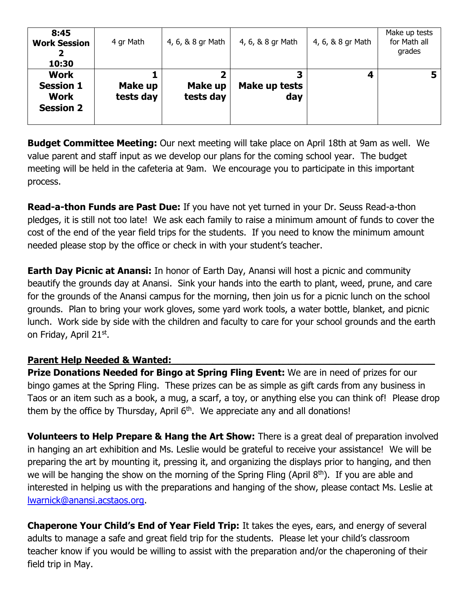| 8:45<br><b>Work Session</b><br>10:30                               | 4 gr Math            | 4, 6, & 8 gr Math    | 4, 6, & 8 gr Math    | 4, 6, & 8 gr Math | Make up tests<br>for Math all<br>grades |
|--------------------------------------------------------------------|----------------------|----------------------|----------------------|-------------------|-----------------------------------------|
| <b>Work</b><br><b>Session 1</b><br><b>Work</b><br><b>Session 2</b> | Make up<br>tests day | Make up<br>tests day | Make up tests<br>day | 4                 |                                         |

**Budget Committee Meeting:** Our next meeting will take place on April 18th at 9am as well. We value parent and staff input as we develop our plans for the coming school year. The budget meeting will be held in the cafeteria at 9am. We encourage you to participate in this important process.

**Read-a-thon Funds are Past Due:** If you have not yet turned in your Dr. Seuss Read-a-thon pledges, it is still not too late! We ask each family to raise a minimum amount of funds to cover the cost of the end of the year field trips for the students. If you need to know the minimum amount needed please stop by the office or check in with your student's teacher.

**Earth Day Picnic at Anansi:** In honor of Earth Day, Anansi will host a picnic and community beautify the grounds day at Anansi. Sink your hands into the earth to plant, weed, prune, and care for the grounds of the Anansi campus for the morning, then join us for a picnic lunch on the school grounds. Plan to bring your work gloves, some yard work tools, a water bottle, blanket, and picnic lunch. Work side by side with the children and faculty to care for your school grounds and the earth on Friday, April 21st.

## Parent Help Needed & Wanted:

**Prize Donations Needed for Bingo at Spring Fling Event:** We are in need of prizes for our bingo games at the Spring Fling. These prizes can be as simple as gift cards from any business in Taos or an item such as a book, a mug, a scarf, a toy, or anything else you can think of! Please drop them by the office by Thursday, April  $6<sup>th</sup>$ . We appreciate any and all donations!

**Volunteers to Help Prepare & Hang the Art Show:** There is a great deal of preparation involved in hanging an art exhibition and Ms. Leslie would be grateful to receive your assistance! We will be preparing the art by mounting it, pressing it, and organizing the displays prior to hanging, and then we will be hanging the show on the morning of the Spring Fling (April  $8<sup>th</sup>$ ). If you are able and interested in helping us with the preparations and hanging of the show, please contact Ms. Leslie at [lwarnick@anansi.acstaos.org.](mailto:lwarnick@anansi.acstaos.org)

**Chaperone Your Child's End of Year Field Trip:** It takes the eyes, ears, and energy of several adults to manage a safe and great field trip for the students. Please let your child's classroom teacher know if you would be willing to assist with the preparation and/or the chaperoning of their field trip in May.